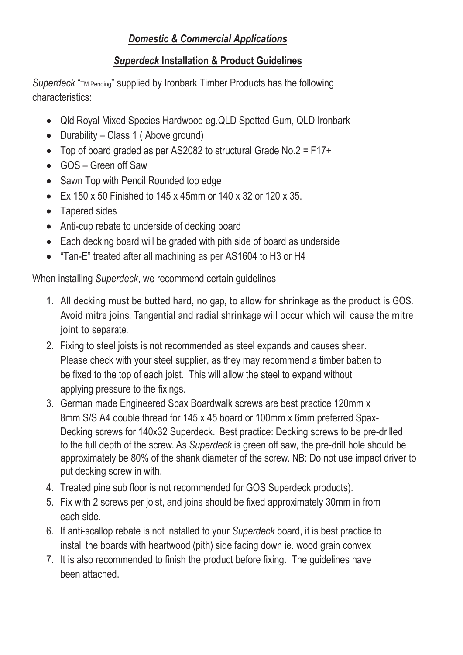### *Domestic & Commercial Applications*

# **Superdeck Installation & Product Guidelines**

**Superdeck** "TM Pending" supplied by Ironbark Timber Products has the following  $S$ uperdecking" superioristics: **Superioristics**: **Superioristics has the following products has the following has the following products has the following products has the following products has the following products has** 

- **•** Qld Royal Mixed Species Hardwood eg.QLD Spotted Gum, QLD Ironbark **e** Qld Royal Mixed Species Hardwood eq. QLD Spotted Gum, C
- Durability Class 1 (Above ground)<br>  $\overline{a}$  = 1.1 mixed by Ironbark Timber Products has the following the following the following the following the following the following the following the following the following the
- Top of board graded as per AS2082 to structural Grade No.2 =  $F17+$ 
	- GOS Green off Saw
	- Sawn Top with Pencil Rounded top edge
	- Ex 150 x 50 Finished to 145 x 45mm or 140 x 32 or 120 x 35.
	- Tapered sides
	- Anti-cup rebate to underside of decking board
	- Each decking board will be graded with pith side of board as underside
	- "Tan-E" treated after all machining as per AS1604 to H3 or H4

When installing *Superdeck*, we recommend certain guidelines en installing *Superdeck* we recommend certain quidelines en installing *superueck*, we recommend certain g

- 1. All decking must be butted hard, no gap, to allow for shrinkage as the product is GOS. Avoid mitre joins. Tangential and radial shrinkage will occur which will cause the mitre is not recommended as steel expands as step as step as step as step as step as shear. The causes sheared as step as sheared as step as step as step as step as step as step as step as step as step as step as step as step as When installing *Superdeck*, we recommend certain guidelines
	- 2. Fixing to steel joists is not recommended as steel expands and causes shear. Please check with your steel supplier, as they may recommend a timber batten to be fixed to the top of each joist. This will allow the steel to expand without applying pressure to the fixings.
	- 3. German made Engineered Spax Boardwalk screws are best practice 120mm x 8mm S/S A4 double thread for 145 x 45 board or 100mm x 6mm preferred Spax-Decking screws for 140x32 Superdeck. Best practice: Decking screws to be pre-drilled to the full depth of the screw. As Superdeck is green off saw, the pre-drill hole should be approximately be 80% of the shank diameter of the screw. NB: Do not use impact driver to put decking screw in with.
	- 4. Treated pine sub floor is not recommended for GOS Superdeck products).
	- 5. Fix with 2 screws per joist, and joins should be fixed approximately 30mm in from beach side. If anti-scale rebate is not installed to your *Superdeck* board, it is best problem. **7. It is also recommended to finish the product before fixing. The product before fixing.** The guidelines have fixing. The guidelines have fixing the guidelines have fixing. The guidelines have fixing the guidelines have
	- 6. If anti-scallop rebate is not installed to your *Superdeck* board, it is best practice to install the boards with heartwood (pith) side facing down ie. wood grain convex
	- 7. It is also recommended to finish the product before fixing. The guidelines have been attached.